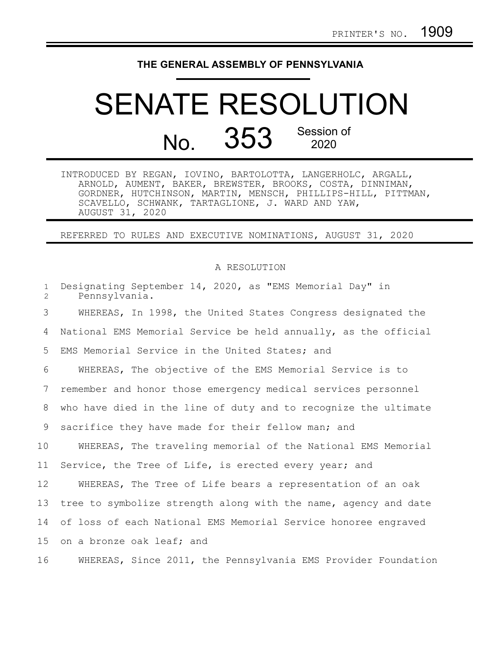## **THE GENERAL ASSEMBLY OF PENNSYLVANIA**

## SENATE RESOLUTION No. 353 Session of 2020

INTRODUCED BY REGAN, IOVINO, BARTOLOTTA, LANGERHOLC, ARGALL, ARNOLD, AUMENT, BAKER, BREWSTER, BROOKS, COSTA, DINNIMAN, GORDNER, HUTCHINSON, MARTIN, MENSCH, PHILLIPS-HILL, PITTMAN, SCAVELLO, SCHWANK, TARTAGLIONE, J. WARD AND YAW, AUGUST 31, 2020

REFERRED TO RULES AND EXECUTIVE NOMINATIONS, AUGUST 31, 2020

## A RESOLUTION

| $\mathbf{1}$<br>$\overline{2}$ | Designating September 14, 2020, as "EMS Memorial Day" in<br>Pennsylvania. |
|--------------------------------|---------------------------------------------------------------------------|
| 3                              | WHEREAS, In 1998, the United States Congress designated the               |
| 4                              | National EMS Memorial Service be held annually, as the official           |
| 5                              | EMS Memorial Service in the United States; and                            |
| 6                              | WHEREAS, The objective of the EMS Memorial Service is to                  |
| 7                              | remember and honor those emergency medical services personnel             |
| 8                              | who have died in the line of duty and to recognize the ultimate           |
| 9                              | sacrifice they have made for their fellow man; and                        |
| 10                             | WHEREAS, The traveling memorial of the National EMS Memorial              |
| 11                             | Service, the Tree of Life, is erected every year; and                     |
| 12                             | WHEREAS, The Tree of Life bears a representation of an oak                |
| 13                             | tree to symbolize strength along with the name, agency and date           |
| 14                             | of loss of each National EMS Memorial Service honoree engraved            |
| 15                             | on a bronze oak leaf; and                                                 |
| 16                             | WHEREAS, Since 2011, the Pennsylvania EMS Provider Foundation             |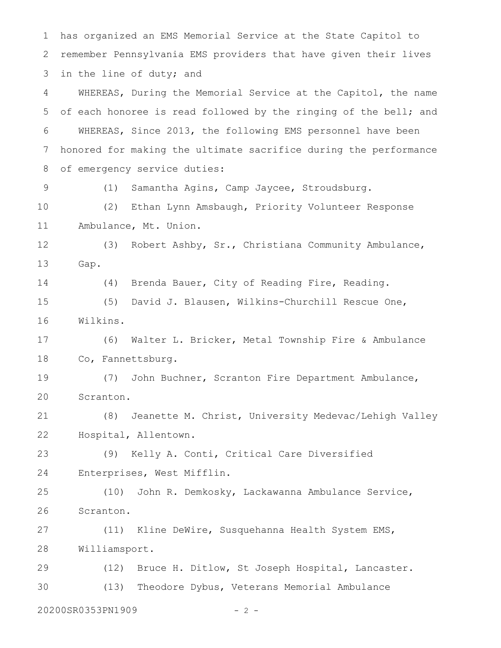has organized an EMS Memorial Service at the State Capitol to remember Pennsylvania EMS providers that have given their lives in the line of duty; and WHEREAS, During the Memorial Service at the Capitol, the name of each honoree is read followed by the ringing of the bell; and WHEREAS, Since 2013, the following EMS personnel have been honored for making the ultimate sacrifice during the performance of emergency service duties: (1) Samantha Agins, Camp Jaycee, Stroudsburg. (2) Ethan Lynn Amsbaugh, Priority Volunteer Response Ambulance, Mt. Union. (3) Robert Ashby, Sr., Christiana Community Ambulance, Gap. (4) Brenda Bauer, City of Reading Fire, Reading. (5) David J. Blausen, Wilkins-Churchill Rescue One, Wilkins. (6) Walter L. Bricker, Metal Township Fire & Ambulance Co, Fannettsburg. (7) John Buchner, Scranton Fire Department Ambulance, Scranton. (8) Jeanette M. Christ, University Medevac/Lehigh Valley Hospital, Allentown. (9) Kelly A. Conti, Critical Care Diversified Enterprises, West Mifflin. (10) John R. Demkosky, Lackawanna Ambulance Service, Scranton. (11) Kline DeWire, Susquehanna Health System EMS, Williamsport. (12) Bruce H. Ditlow, St Joseph Hospital, Lancaster. (13) Theodore Dybus, Veterans Memorial Ambulance 20200SR0353PN1909 - 2 - 1 2 3 4 5 6 7 8 9 10 11 12 13 14 15 16 17 18 19 20 21 22 23 24 25 26 27 28 29 30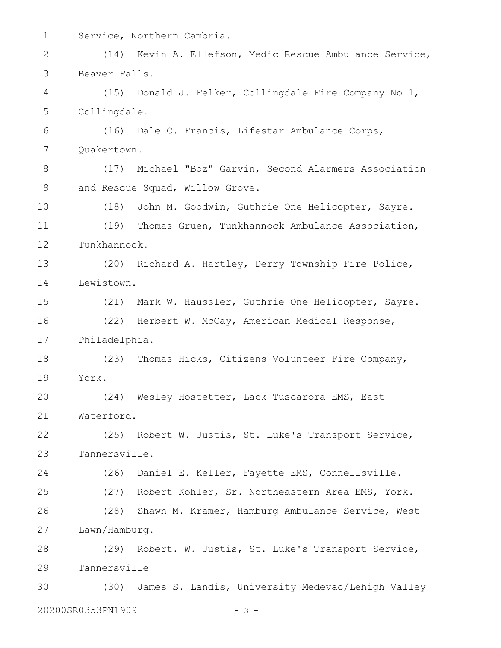| $\mathbf 1$ |                   | Service, Northern Cambria.                              |  |
|-------------|-------------------|---------------------------------------------------------|--|
| 2           |                   | (14) Kevin A. Ellefson, Medic Rescue Ambulance Service, |  |
| 3           | Beaver Falls.     |                                                         |  |
| 4           |                   | (15) Donald J. Felker, Collingdale Fire Company No 1,   |  |
| 5           | Collingdale.      |                                                         |  |
| 6           |                   | (16) Dale C. Francis, Lifestar Ambulance Corps,         |  |
| 7           | Quakertown.       |                                                         |  |
| 8           |                   | (17) Michael "Boz" Garvin, Second Alarmers Association  |  |
| 9           |                   | and Rescue Squad, Willow Grove.                         |  |
| 10          |                   | (18) John M. Goodwin, Guthrie One Helicopter, Sayre.    |  |
| 11          |                   | (19) Thomas Gruen, Tunkhannock Ambulance Association,   |  |
| 12          | Tunkhannock.      |                                                         |  |
| 13          |                   | (20) Richard A. Hartley, Derry Township Fire Police,    |  |
| 14          | Lewistown.        |                                                         |  |
| 15          |                   | (21) Mark W. Haussler, Guthrie One Helicopter, Sayre.   |  |
| 16          |                   | (22) Herbert W. McCay, American Medical Response,       |  |
| 17          | Philadelphia.     |                                                         |  |
| 18          |                   | (23) Thomas Hicks, Citizens Volunteer Fire Company,     |  |
| 19          | York.             |                                                         |  |
| 20          |                   | (24) Wesley Hostetter, Lack Tuscarora EMS, East         |  |
| 21          | Waterford.        |                                                         |  |
| 22          |                   | (25) Robert W. Justis, St. Luke's Transport Service,    |  |
| 23          | Tannersville.     |                                                         |  |
| 24          |                   | (26) Daniel E. Keller, Fayette EMS, Connellsville.      |  |
| 25          |                   | (27) Robert Kohler, Sr. Northeastern Area EMS, York.    |  |
| 26          |                   | (28) Shawn M. Kramer, Hamburg Ambulance Service, West   |  |
| 27          | Lawn/Hamburg.     |                                                         |  |
| 28          |                   | (29) Robert. W. Justis, St. Luke's Transport Service,   |  |
| 29          | Tannersville      |                                                         |  |
| 30          |                   | (30) James S. Landis, University Medevac/Lehigh Valley  |  |
|             | 20200SR0353PN1909 | $-3-$                                                   |  |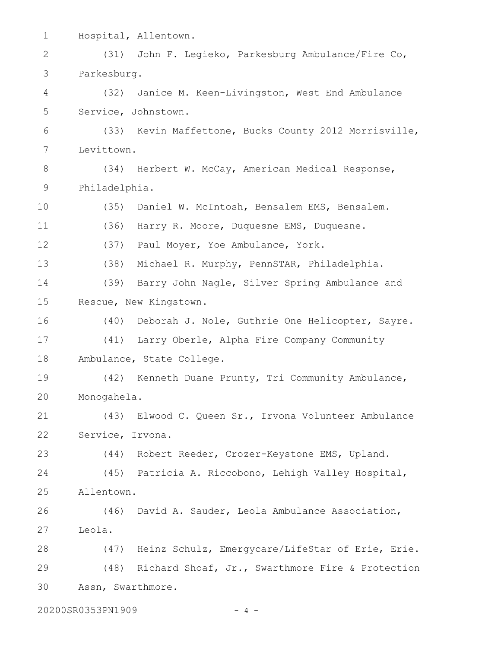| $\mathbf 1$                |                   | Hospital, Allentown.                                  |  |  |
|----------------------------|-------------------|-------------------------------------------------------|--|--|
| 2                          | (31)              | John F. Legieko, Parkesburg Ambulance/Fire Co,        |  |  |
| 3                          | Parkesburg.       |                                                       |  |  |
| 4                          | (32)              | Janice M. Keen-Livingston, West End Ambulance         |  |  |
| 5                          |                   | Service, Johnstown.                                   |  |  |
| 6                          |                   | (33) Kevin Maffettone, Bucks County 2012 Morrisville, |  |  |
| 7                          | Levittown.        |                                                       |  |  |
| 8                          |                   | (34) Herbert W. McCay, American Medical Response,     |  |  |
| 9                          | Philadelphia.     |                                                       |  |  |
| 10                         | (35)              | Daniel W. McIntosh, Bensalem EMS, Bensalem.           |  |  |
| 11                         | (36)              | Harry R. Moore, Duquesne EMS, Duquesne.               |  |  |
| 12                         |                   | (37) Paul Moyer, Yoe Ambulance, York.                 |  |  |
| 13                         |                   | (38) Michael R. Murphy, PennSTAR, Philadelphia.       |  |  |
| 14                         | (39)              | Barry John Nagle, Silver Spring Ambulance and         |  |  |
| 15                         |                   | Rescue, New Kingstown.                                |  |  |
| 16                         |                   | (40) Deborah J. Nole, Guthrie One Helicopter, Sayre.  |  |  |
| 17                         |                   | (41) Larry Oberle, Alpha Fire Company Community       |  |  |
| 18                         |                   | Ambulance, State College.                             |  |  |
| 19                         |                   | (42) Kenneth Duane Prunty, Tri Community Ambulance,   |  |  |
| 20                         | Monogahela.       |                                                       |  |  |
| 21                         |                   | (43) Elwood C. Queen Sr., Irvona Volunteer Ambulance  |  |  |
| 22                         | Service, Irvona.  |                                                       |  |  |
| 23                         |                   | (44) Robert Reeder, Crozer-Keystone EMS, Upland.      |  |  |
| 24                         |                   | (45) Patricia A. Riccobono, Lehigh Valley Hospital,   |  |  |
| 25                         | Allentown.        |                                                       |  |  |
| 26                         |                   | (46) David A. Sauder, Leola Ambulance Association,    |  |  |
| 27                         | Leola.            |                                                       |  |  |
| 28                         |                   | (47) Heinz Schulz, Emergycare/LifeStar of Erie, Erie. |  |  |
| 29                         |                   | (48) Richard Shoaf, Jr., Swarthmore Fire & Protection |  |  |
| 30                         | Assn, Swarthmore. |                                                       |  |  |
| 20200SR0353PN1909<br>- 4 - |                   |                                                       |  |  |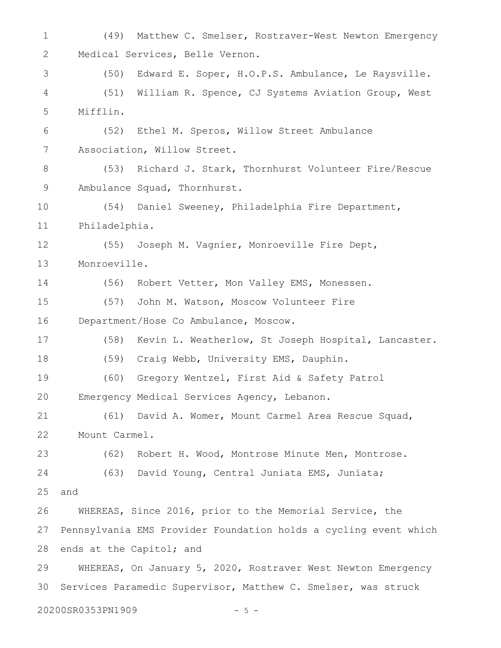(49) Matthew C. Smelser, Rostraver-West Newton Emergency Medical Services, Belle Vernon. (50) Edward E. Soper, H.O.P.S. Ambulance, Le Raysville. (51) William R. Spence, CJ Systems Aviation Group, West Mifflin. (52) Ethel M. Speros, Willow Street Ambulance Association, Willow Street. (53) Richard J. Stark, Thornhurst Volunteer Fire/Rescue Ambulance Squad, Thornhurst. (54) Daniel Sweeney, Philadelphia Fire Department, Philadelphia. (55) Joseph M. Vagnier, Monroeville Fire Dept, Monroeville. (56) Robert Vetter, Mon Valley EMS, Monessen. (57) John M. Watson, Moscow Volunteer Fire Department/Hose Co Ambulance, Moscow. (58) Kevin L. Weatherlow, St Joseph Hospital, Lancaster. (59) Craig Webb, University EMS, Dauphin. (60) Gregory Wentzel, First Aid & Safety Patrol Emergency Medical Services Agency, Lebanon. (61) David A. Womer, Mount Carmel Area Rescue Squad, Mount Carmel. (62) Robert H. Wood, Montrose Minute Men, Montrose. (63) David Young, Central Juniata EMS, Juniata; and WHEREAS, Since 2016, prior to the Memorial Service, the Pennsylvania EMS Provider Foundation holds a cycling event which ends at the Capitol; and WHEREAS, On January 5, 2020, Rostraver West Newton Emergency Services Paramedic Supervisor, Matthew C. Smelser, was struck 20200SR0353PN1909 - 5 -1 2 3 4 5 6 7 8 9 10 11 12 13 14 15 16 17 18 19 20 21 22 23 24 25 26 27 28 29 30